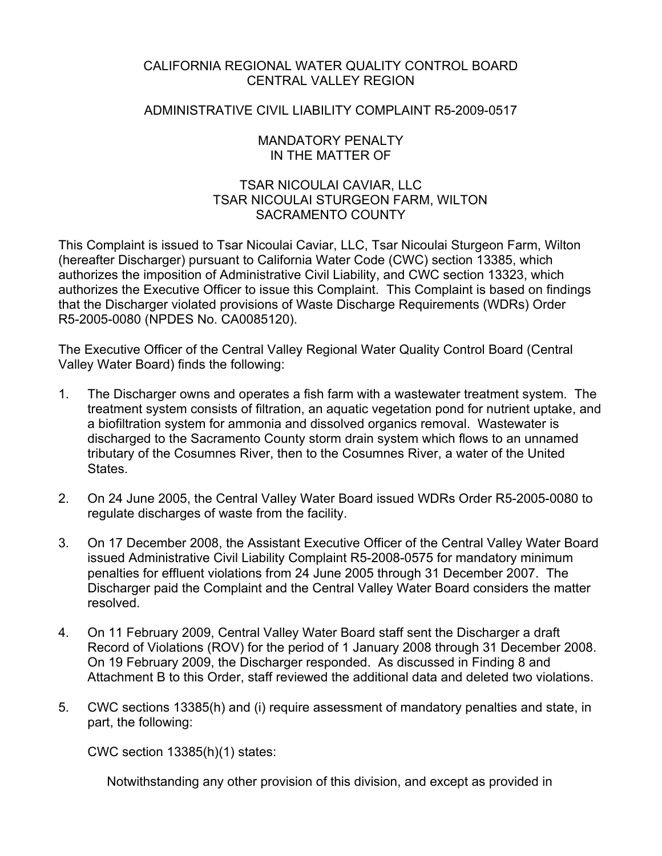## CALIFORNIA REGIONAL WATER QUALITY CONTROL BOARD CENTRAL VALLEY REGION

## ADMINISTRATIVE CIVIL LIABILITY COMPLAINT R5-2009-0517

### MANDATORY PENALTY IN THE MATTER OF

## TSAR NICOULAI CAVIAR, LLC TSAR NICOULAI STURGEON FARM, WILTON SACRAMENTO COUNTY

This Complaint is issued to Tsar Nicoulai Caviar, LLC, Tsar Nicoulai Sturgeon Farm, Wilton (hereafter Discharger) pursuant to California Water Code (CWC) section 13385, which authorizes the imposition of Administrative Civil Liability, and CWC section 13323, which authorizes the Executive Officer to issue this Complaint. This Complaint is based on findings that the Discharger violated provisions of Waste Discharge Requirements (WDRs) Order R5-2005-0080 (NPDES No. CA0085120).

The Executive Officer of the Central Valley Regional Water Quality Control Board (Central Valley Water Board) finds the following:

- 1. The Discharger owns and operates a fish farm with a wastewater treatment system. The treatment system consists of filtration, an aquatic vegetation pond for nutrient uptake, and a biofiltration system for ammonia and dissolved organics removal. Wastewater is discharged to the Sacramento County storm drain system which flows to an unnamed tributary of the Cosumnes River, then to the Cosumnes River, a water of the United States.
- 2. On 24 June 2005, the Central Valley Water Board issued WDRs Order R5-2005-0080 to regulate discharges of waste from the facility.
- 3. On 17 December 2008, the Assistant Executive Officer of the Central Valley Water Board issued Administrative Civil Liability Complaint R5-2008-0575 for mandatory minimum penalties for effluent violations from 24 June 2005 through 31 December 2007. The Discharger paid the Complaint and the Central Valley Water Board considers the matter resolved.
- 4. On 11 February 2009, Central Valley Water Board staff sent the Discharger a draft Record of Violations (ROV) for the period of 1 January 2008 through 31 December 2008. On 19 February 2009, the Discharger responded. As discussed in Finding 8 and Attachment B to this Order, staff reviewed the additional data and deleted two violations.
- 5. CWC sections 13385(h) and (i) require assessment of mandatory penalties and state, in part, the following:

CWC section 13385(h)(1) states:

Notwithstanding any other provision of this division, and except as provided in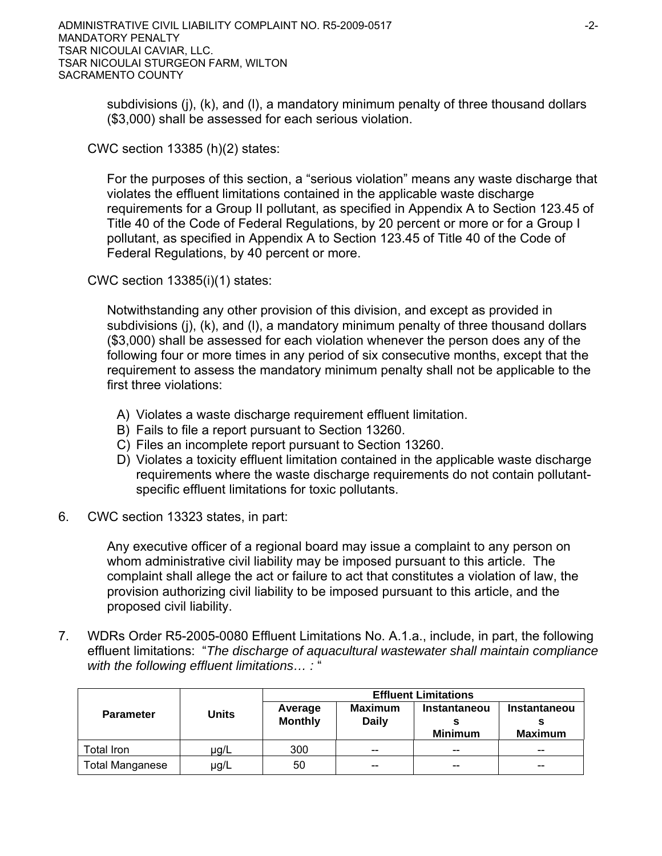subdivisions (j), (k), and (l), a mandatory minimum penalty of three thousand dollars (\$3,000) shall be assessed for each serious violation.

CWC section 13385 (h)(2) states:

For the purposes of this section, a "serious violation" means any waste discharge that violates the effluent limitations contained in the applicable waste discharge requirements for a Group II pollutant, as specified in Appendix A to Section 123.45 of Title 40 of the Code of Federal Regulations, by 20 percent or more or for a Group I pollutant, as specified in Appendix A to Section 123.45 of Title 40 of the Code of Federal Regulations, by 40 percent or more.

CWC section 13385(i)(1) states:

Notwithstanding any other provision of this division, and except as provided in subdivisions (j), (k), and (l), a mandatory minimum penalty of three thousand dollars (\$3,000) shall be assessed for each violation whenever the person does any of the following four or more times in any period of six consecutive months, except that the requirement to assess the mandatory minimum penalty shall not be applicable to the first three violations:

- A) Violates a waste discharge requirement effluent limitation.
- B) Fails to file a report pursuant to Section 13260.
- C) Files an incomplete report pursuant to Section 13260.
- D) Violates a toxicity effluent limitation contained in the applicable waste discharge requirements where the waste discharge requirements do not contain pollutantspecific effluent limitations for toxic pollutants.
- 6. CWC section 13323 states, in part:

Any executive officer of a regional board may issue a complaint to any person on whom administrative civil liability may be imposed pursuant to this article. The complaint shall allege the act or failure to act that constitutes a violation of law, the provision authorizing civil liability to be imposed pursuant to this article, and the proposed civil liability.

7. WDRs Order R5-2005-0080 Effluent Limitations No. A.1.a., include, in part, the following effluent limitations: "*The discharge of aquacultural wastewater shall maintain compliance with the following effluent limitations… :* "

|                        | <b>Units</b> | <b>Effluent Limitations</b> |                |                     |                     |  |  |
|------------------------|--------------|-----------------------------|----------------|---------------------|---------------------|--|--|
| <b>Parameter</b>       |              | Average                     | <b>Maximum</b> | <b>Instantaneou</b> | <b>Instantaneou</b> |  |  |
|                        |              | <b>Monthly</b>              | <b>Daily</b>   | <b>Minimum</b>      | <b>Maximum</b>      |  |  |
| Total Iron             | µg/L         | 300                         | $- -$          | --                  | $- -$               |  |  |
| <b>Total Manganese</b> | µg/L         | 50                          | $- -$          |                     | --                  |  |  |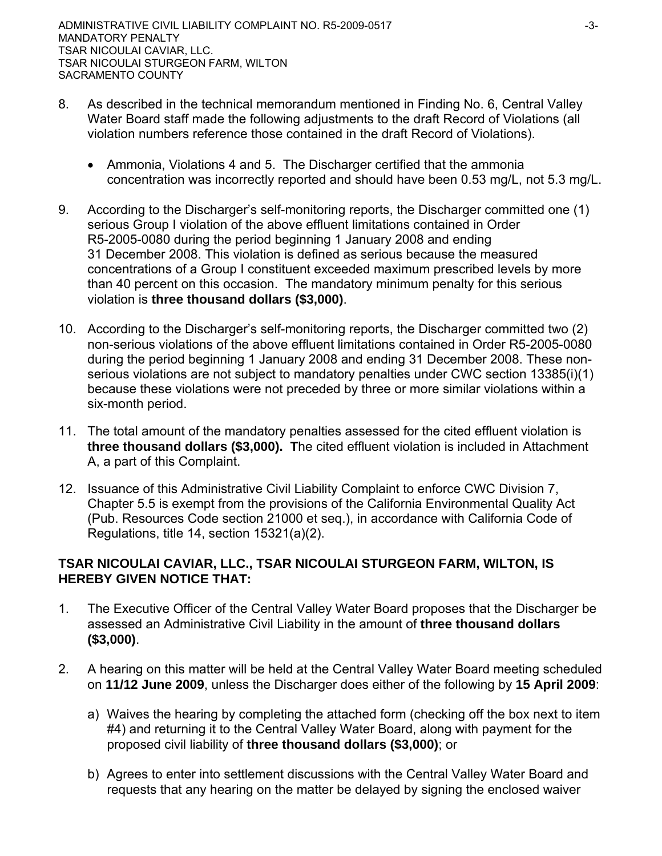- 8. As described in the technical memorandum mentioned in Finding No. 6, Central Valley Water Board staff made the following adjustments to the draft Record of Violations (all violation numbers reference those contained in the draft Record of Violations).
	- Ammonia, Violations 4 and 5. The Discharger certified that the ammonia concentration was incorrectly reported and should have been 0.53 mg/L, not 5.3 mg/L.
- 9. According to the Discharger's self-monitoring reports, the Discharger committed one (1) serious Group I violation of the above effluent limitations contained in Order R5-2005-0080 during the period beginning 1 January 2008 and ending 31 December 2008. This violation is defined as serious because the measured concentrations of a Group I constituent exceeded maximum prescribed levels by more than 40 percent on this occasion. The mandatory minimum penalty for this serious violation is **three thousand dollars (\$3,000)**.
- 10. According to the Discharger's self-monitoring reports, the Discharger committed two (2) non-serious violations of the above effluent limitations contained in Order R5-2005-0080 during the period beginning 1 January 2008 and ending 31 December 2008. These nonserious violations are not subject to mandatory penalties under CWC section 13385(i)(1) because these violations were not preceded by three or more similar violations within a six-month period.
- 11. The total amount of the mandatory penalties assessed for the cited effluent violation is **three thousand dollars (\$3,000). T**he cited effluent violation is included in Attachment A, a part of this Complaint.
- 12. Issuance of this Administrative Civil Liability Complaint to enforce CWC Division 7, Chapter 5.5 is exempt from the provisions of the California Environmental Quality Act (Pub. Resources Code section 21000 et seq.), in accordance with California Code of Regulations, title 14, section 15321(a)(2).

# **TSAR NICOULAI CAVIAR, LLC., TSAR NICOULAI STURGEON FARM, WILTON, IS HEREBY GIVEN NOTICE THAT:**

- 1. The Executive Officer of the Central Valley Water Board proposes that the Discharger be assessed an Administrative Civil Liability in the amount of **three thousand dollars (\$3,000)**.
- 2. A hearing on this matter will be held at the Central Valley Water Board meeting scheduled on **11/12 June 2009**, unless the Discharger does either of the following by **15 April 2009**:
	- a) Waives the hearing by completing the attached form (checking off the box next to item #4) and returning it to the Central Valley Water Board, along with payment for the proposed civil liability of **three thousand dollars (\$3,000)**; or
	- b) Agrees to enter into settlement discussions with the Central Valley Water Board and requests that any hearing on the matter be delayed by signing the enclosed waiver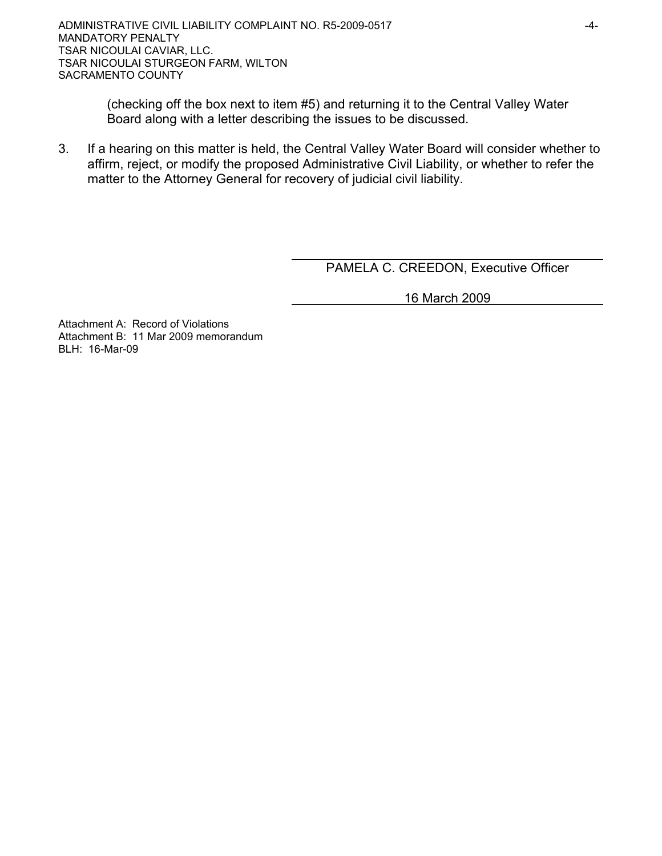(checking off the box next to item #5) and returning it to the Central Valley Water Board along with a letter describing the issues to be discussed.

3. If a hearing on this matter is held, the Central Valley Water Board will consider whether to affirm, reject, or modify the proposed Administrative Civil Liability, or whether to refer the matter to the Attorney General for recovery of judicial civil liability.

PAMELA C. CREEDON, Executive Officer

16 March 2009

Attachment A: Record of Violations Attachment B: 11 Mar 2009 memorandum BLH: 16-Mar-09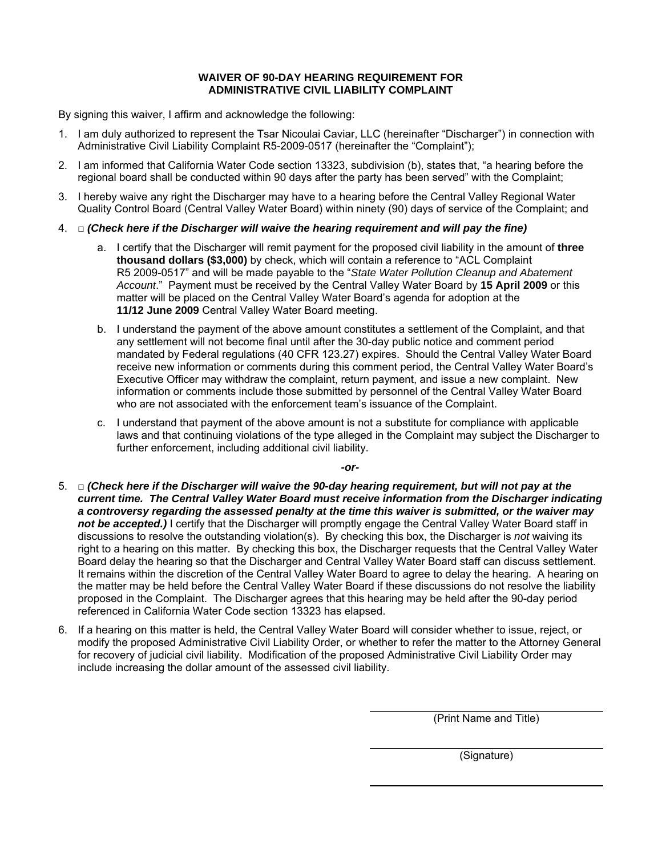#### **WAIVER OF 90-DAY HEARING REQUIREMENT FOR ADMINISTRATIVE CIVIL LIABILITY COMPLAINT**

By signing this waiver, I affirm and acknowledge the following:

- 1. I am duly authorized to represent the Tsar Nicoulai Caviar, LLC (hereinafter "Discharger") in connection with Administrative Civil Liability Complaint R5-2009-0517 (hereinafter the "Complaint");
- 2. I am informed that California Water Code section 13323, subdivision (b), states that, "a hearing before the regional board shall be conducted within 90 days after the party has been served" with the Complaint;
- 3. I hereby waive any right the Discharger may have to a hearing before the Central Valley Regional Water Quality Control Board (Central Valley Water Board) within ninety (90) days of service of the Complaint; and
- 4. □ *(Check here if the Discharger will waive the hearing requirement and will pay the fine)* 
	- a. I certify that the Discharger will remit payment for the proposed civil liability in the amount of **three thousand dollars (\$3,000)** by check, which will contain a reference to "ACL Complaint R5 2009-0517" and will be made payable to the "*State Water Pollution Cleanup and Abatement Account*." Payment must be received by the Central Valley Water Board by **15 April 2009** or this matter will be placed on the Central Valley Water Board's agenda for adoption at the **11/12 June 2009** Central Valley Water Board meeting.
	- b. I understand the payment of the above amount constitutes a settlement of the Complaint, and that any settlement will not become final until after the 30-day public notice and comment period mandated by Federal regulations (40 CFR 123.27) expires. Should the Central Valley Water Board receive new information or comments during this comment period, the Central Valley Water Board's Executive Officer may withdraw the complaint, return payment, and issue a new complaint. New information or comments include those submitted by personnel of the Central Valley Water Board who are not associated with the enforcement team's issuance of the Complaint.
	- c. I understand that payment of the above amount is not a substitute for compliance with applicable laws and that continuing violations of the type alleged in the Complaint may subject the Discharger to further enforcement, including additional civil liability.

*-or-*

- 5. □ *(Check here if the Discharger will waive the 90-day hearing requirement, but will not pay at the current time. The Central Valley Water Board must receive information from the Discharger indicating a controversy regarding the assessed penalty at the time this waiver is submitted, or the waiver may*  not be accepted.) I certify that the Discharger will promptly engage the Central Valley Water Board staff in discussions to resolve the outstanding violation(s). By checking this box, the Discharger is *not* waiving its right to a hearing on this matter. By checking this box, the Discharger requests that the Central Valley Water Board delay the hearing so that the Discharger and Central Valley Water Board staff can discuss settlement. It remains within the discretion of the Central Valley Water Board to agree to delay the hearing. A hearing on the matter may be held before the Central Valley Water Board if these discussions do not resolve the liability proposed in the Complaint. The Discharger agrees that this hearing may be held after the 90-day period referenced in California Water Code section 13323 has elapsed.
- 6. If a hearing on this matter is held, the Central Valley Water Board will consider whether to issue, reject, or modify the proposed Administrative Civil Liability Order, or whether to refer the matter to the Attorney General for recovery of judicial civil liability. Modification of the proposed Administrative Civil Liability Order may include increasing the dollar amount of the assessed civil liability.

(Print Name and Title)

(Signature)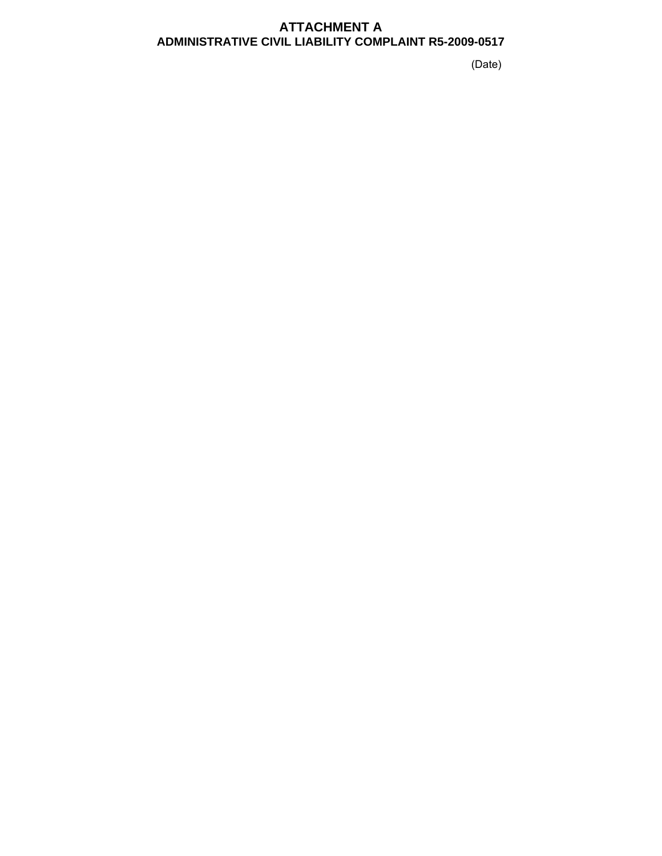## **ATTACHMENT A ADMINISTRATIVE CIVIL LIABILITY COMPLAINT R5-2009-0517**

(Date)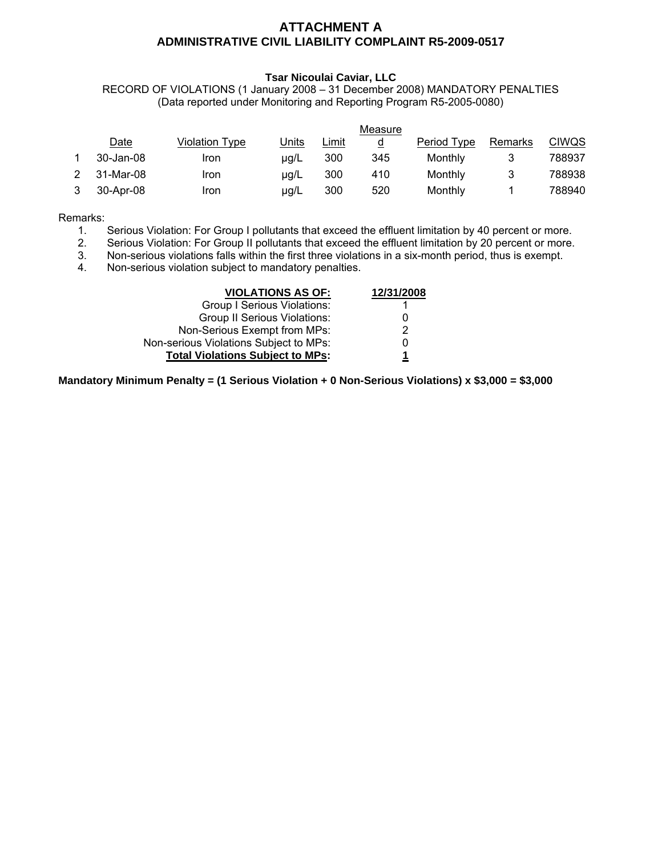## **ATTACHMENT A ADMINISTRATIVE CIVIL LIABILITY COMPLAINT R5-2009-0517**

### **Tsar Nicoulai Caviar, LLC**

RECORD OF VIOLATIONS (1 January 2008 – 31 December 2008) MANDATORY PENALTIES (Data reported under Monitoring and Reporting Program R5-2005-0080)

|   |           |                |           |       | Measure        |             |         |              |
|---|-----------|----------------|-----------|-------|----------------|-------------|---------|--------------|
|   | Date      | Violation Type | Units     | Limit | $\overline{a}$ | Period Type | Remarks | <b>CIWQS</b> |
| 1 | 30-Jan-08 | Iron           | $\mu q/L$ | 300   | 345            | Monthly     |         | 788937       |
| 2 | 31-Mar-08 | Iron           | $\mu q/L$ | 300   | 410            | Monthly     | 3       | 788938       |
| 3 | 30-Apr-08 | Iron           | µg/L      | 300   | 520            | Monthly     |         | 788940       |

Remarks:

1. Serious Violation: For Group I pollutants that exceed the effluent limitation by 40 percent or more.

2. Serious Violation: For Group II pollutants that exceed the effluent limitation by 20 percent or more.

3. Non-serious violations falls within the first three violations in a six-month period, thus is exempt.

Non-serious violation subject to mandatory penalties.

| <b>VIOLATIONS AS OF:</b>                | 12/31/2008 |
|-----------------------------------------|------------|
| <b>Group I Serious Violations:</b>      |            |
| <b>Group II Serious Violations:</b>     |            |
| Non-Serious Exempt from MPs:            | 2          |
| Non-serious Violations Subject to MPs:  |            |
| <b>Total Violations Subject to MPs:</b> | 1          |

**Mandatory Minimum Penalty = (1 Serious Violation + 0 Non-Serious Violations) x \$3,000 = \$3,000**